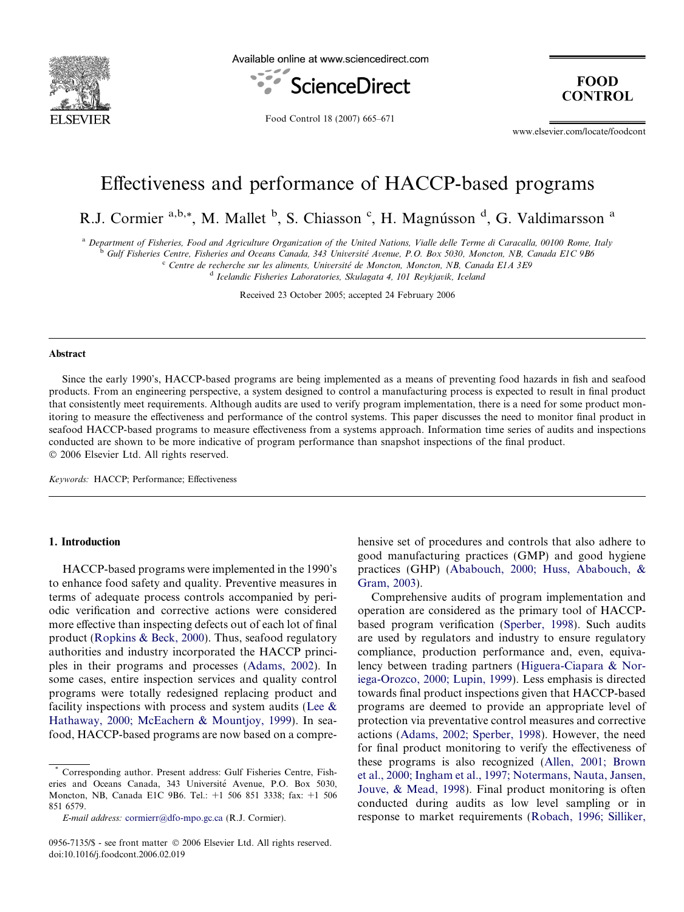

Available online at www.sciencedirect.com



**FOOD CONTROL** 

Food Control 18 (2007) 665–671

www.elsevier.com/locate/foodcont

# Effectiveness and performance of HACCP-based programs

R.J. Cormier <sup>a,b,\*</sup>, M. Mallet <sup>b</sup>, S. Chiasson <sup>c</sup>, H. Magnússon <sup>d</sup>, G. Valdimarsson <sup>a</sup>

a Department of Fisheries, Food and Agriculture Organization of the United Nations, Vialle delle Terme di Caracalla, 00100 Rome, Italy

<sup>b</sup> Gulf Fisheries Centre, Fisheries and Oceans Canada, 343 Universite´ Avenue, P.O. Box 5030, Moncton, NB, Canada E1C 9B6

<sup>c</sup> Centre de recherche sur les aliments, Université de Moncton, Moncton, NB, Canada E1A 3E9

<sup>d</sup> Icelandic Fisheries Laboratories, Skulagata 4, 101 Reykjavik, Iceland

Received 23 October 2005; accepted 24 February 2006

#### Abstract

Since the early 1990's, HACCP-based programs are being implemented as a means of preventing food hazards in fish and seafood products. From an engineering perspective, a system designed to control a manufacturing process is expected to result in final product that consistently meet requirements. Although audits are used to verify program implementation, there is a need for some product monitoring to measure the effectiveness and performance of the control systems. This paper discusses the need to monitor final product in seafood HACCP-based programs to measure effectiveness from a systems approach. Information time series of audits and inspections conducted are shown to be more indicative of program performance than snapshot inspections of the final product. © 2006 Elsevier Ltd. All rights reserved.

Keywords: HACCP; Performance; Effectiveness

## 1. Introduction

HACCP-based programs were implemented in the 1990's to enhance food safety and quality. Preventive measures in terms of adequate process controls accompanied by periodic verification and corrective actions were considered more effective than inspecting defects out of each lot of final product [\(Ropkins & Beck, 2000\)](#page-6-0). Thus, seafood regulatory authorities and industry incorporated the HACCP principles in their programs and processes ([Adams, 2002](#page-5-0)). In some cases, entire inspection services and quality control programs were totally redesigned replacing product and facility inspections with process and system audits ([Lee &](#page-5-0) [Hathaway, 2000; McEachern & Mountjoy, 1999\)](#page-5-0). In seafood, HACCP-based programs are now based on a comprehensive set of procedures and controls that also adhere to good manufacturing practices (GMP) and good hygiene practices (GHP) [\(Ababouch, 2000; Huss, Ababouch, &](#page-5-0) [Gram, 2003](#page-5-0)).

Comprehensive audits of program implementation and operation are considered as the primary tool of HACCPbased program verification ([Sperber, 1998\)](#page-6-0). Such audits are used by regulators and industry to ensure regulatory compliance, production performance and, even, equivalency between trading partners ([Higuera-Ciapara & Nor](#page-5-0)[iega-Orozco, 2000; Lupin, 1999](#page-5-0)). Less emphasis is directed towards final product inspections given that HACCP-based programs are deemed to provide an appropriate level of protection via preventative control measures and corrective actions ([Adams, 2002; Sperber, 1998](#page-5-0)). However, the need for final product monitoring to verify the effectiveness of these programs is also recognized [\(Allen, 2001; Brown](#page-5-0) [et al., 2000; Ingham et al., 1997; Notermans, Nauta, Jansen,](#page-5-0) [Jouve, & Mead, 1998](#page-5-0)). Final product monitoring is often conducted during audits as low level sampling or in response to market requirements ([Robach, 1996; Silliker,](#page-6-0)

<sup>\*</sup> Corresponding author. Present address: Gulf Fisheries Centre, Fisheries and Oceans Canada, 343 Université Avenue, P.O. Box 5030, Moncton, NB, Canada E1C 9B6. Tel.: +1 506 851 3338; fax: +1 506 851 6579.

E-mail address: [cormierr@dfo-mpo.gc.ca](mailto:cormierr@dfo-mpo.gc.ca) (R.J. Cormier).

<sup>0956-7135/\$ -</sup> see front matter © 2006 Elsevier Ltd. All rights reserved. doi:10.1016/j.foodcont.2006.02.019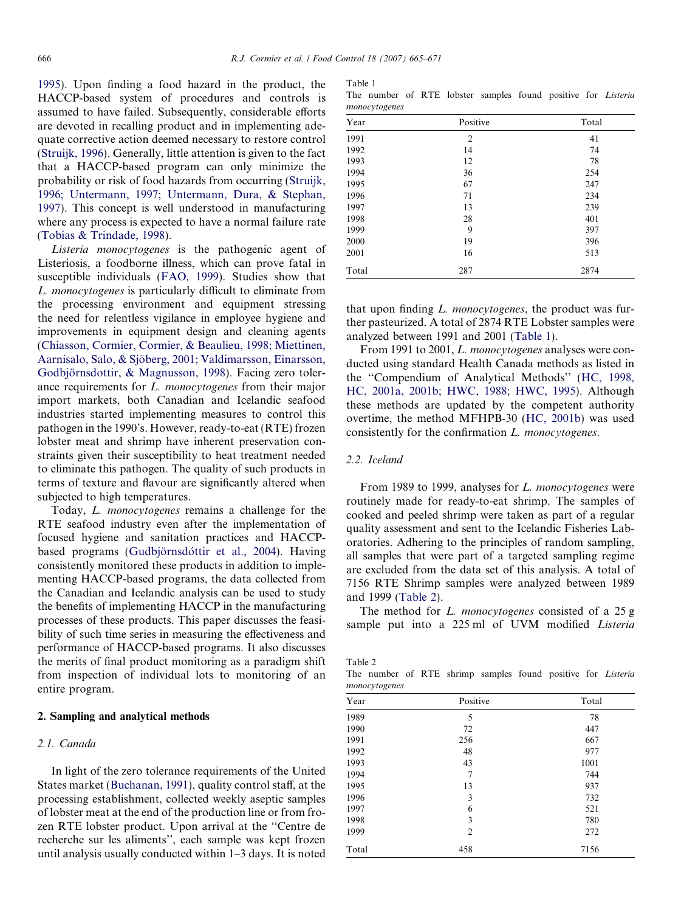[1995\)](#page-6-0). Upon finding a food hazard in the product, the HACCP-based system of procedures and controls is assumed to have failed. Subsequently, considerable efforts are devoted in recalling product and in implementing adequate corrective action deemed necessary to restore control [\(Struijk, 1996](#page-6-0)). Generally, little attention is given to the fact that a HACCP-based program can only minimize the probability or risk of food hazards from occurring ([Struijk,](#page-6-0) [1996; Untermann, 1997; Untermann, Dura, & Stephan,](#page-6-0) [1997\)](#page-6-0). This concept is well understood in manufacturing where any process is expected to have a normal failure rate [\(Tobias & Trindade, 1998\)](#page-6-0).

Listeria monocytogenes is the pathogenic agent of Listeriosis, a foodborne illness, which can prove fatal in susceptible individuals [\(FAO, 1999\)](#page-5-0). Studies show that L. monocytogenes is particularly difficult to eliminate from the processing environment and equipment stressing the need for relentless vigilance in employee hygiene and improvements in equipment design and cleaning agents [\(Chiasson, Cormier, Cormier, & Beaulieu, 1998; Miettinen,](#page-5-0) Aarnisalo, Salo, & Sjöberg, 2001; Valdimarsson, Einarsson, Godbjörnsdottir, & Magnusson, 1998). Facing zero tolerance requirements for L. monocytogenes from their major import markets, both Canadian and Icelandic seafood industries started implementing measures to control this pathogen in the 1990's. However, ready-to-eat (RTE) frozen lobster meat and shrimp have inherent preservation constraints given their susceptibility to heat treatment needed to eliminate this pathogen. The quality of such products in terms of texture and flavour are significantly altered when subjected to high temperatures.

Today, L. monocytogenes remains a challenge for the RTE seafood industry even after the implementation of focused hygiene and sanitation practices and HACCPbased programs (Gudbjörnsdóttir et al., 2004). Having consistently monitored these products in addition to implementing HACCP-based programs, the data collected from the Canadian and Icelandic analysis can be used to study the benefits of implementing HACCP in the manufacturing processes of these products. This paper discusses the feasibility of such time series in measuring the effectiveness and performance of HACCP-based programs. It also discusses the merits of final product monitoring as a paradigm shift from inspection of individual lots to monitoring of an entire program.

#### 2. Sampling and analytical methods

## 2.1. Canada

In light of the zero tolerance requirements of the United States market [\(Buchanan, 1991](#page-5-0)), quality control staff, at the processing establishment, collected weekly aseptic samples of lobster meat at the end of the production line or from frozen RTE lobster product. Upon arrival at the ''Centre de recherche sur les aliments'', each sample was kept frozen until analysis usually conducted within 1–3 days. It is noted

Table 1 The number of RTE lobster samples found positive for Listeria monocytogenes

| Year  | Positive       | Total |
|-------|----------------|-------|
| 1991  | $\overline{c}$ | 41    |
| 1992  | 14             | 74    |
| 1993  | 12             | 78    |
| 1994  | 36             | 254   |
| 1995  | 67             | 247   |
| 1996  | 71             | 234   |
| 1997  | 13             | 239   |
| 1998  | 28             | 401   |
| 1999  | 9              | 397   |
| 2000  | 19             | 396   |
| 2001  | 16             | 513   |
| Total | 287            | 2874  |

that upon finding *L. monocytogenes*, the product was further pasteurized. A total of 2874 RTE Lobster samples were analyzed between 1991 and 2001 (Table 1).

From 1991 to 2001, *L. monocytogenes* analyses were conducted using standard Health Canada methods as listed in the ''Compendium of Analytical Methods'' [\(HC, 1998,](#page-5-0) [HC, 2001a, 2001b; HWC, 1988; HWC, 1995](#page-5-0)). Although these methods are updated by the competent authority overtime, the method MFHPB-30 [\(HC, 2001b\)](#page-5-0) was used consistently for the confirmation L. monocytogenes.

## 2.2. Iceland

From 1989 to 1999, analyses for L. monocytogenes were routinely made for ready-to-eat shrimp. The samples of cooked and peeled shrimp were taken as part of a regular quality assessment and sent to the Icelandic Fisheries Laboratories. Adhering to the principles of random sampling, all samples that were part of a targeted sampling regime are excluded from the data set of this analysis. A total of 7156 RTE Shrimp samples were analyzed between 1989 and 1999 (Table 2).

The method for L. *monocytogenes* consisted of a 25 g sample put into a 225 ml of UVM modified Listeria

Table 2 The number of RTE shrimp samples found positive for Listeria monocytogenes

| Year  | Positive       | Total |
|-------|----------------|-------|
| 1989  | 5              | 78    |
| 1990  | 72             | 447   |
| 1991  | 256            | 667   |
| 1992  | 48             | 977   |
| 1993  | 43             | 1001  |
| 1994  | 7              | 744   |
| 1995  | 13             | 937   |
| 1996  | 3              | 732   |
| 1997  | 6              | 521   |
| 1998  | 3              | 780   |
| 1999  | $\overline{2}$ | 272   |
| Total | 458            | 7156  |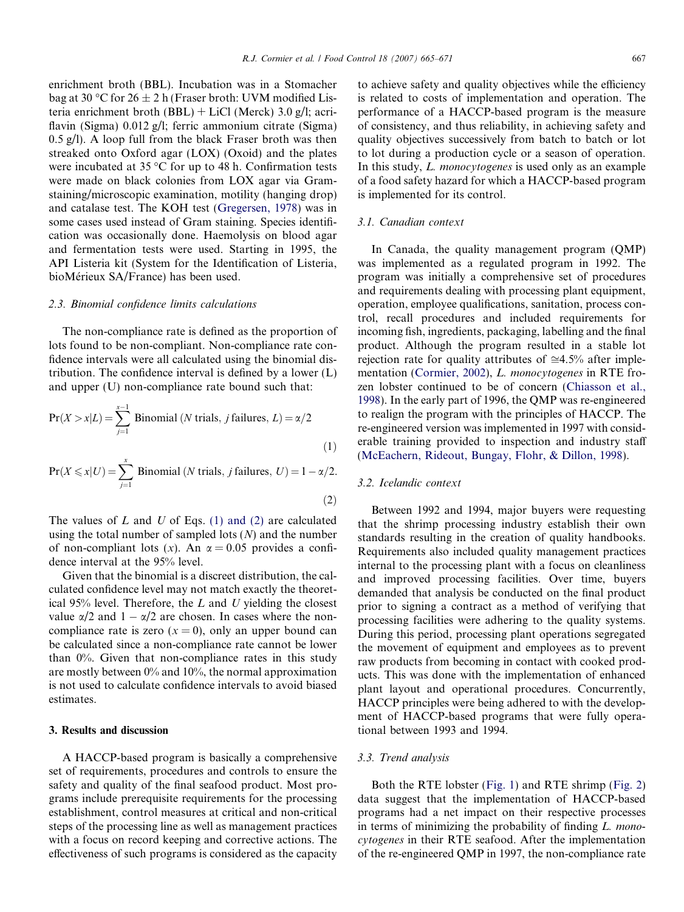enrichment broth (BBL). Incubation was in a Stomacher bag at 30 °C for 26  $\pm$  2 h (Fraser broth: UVM modified Listeria enrichment broth (BBL) + LiCl (Merck) 3.0  $g/l$ ; acriflavin (Sigma) 0.012 g/l; ferric ammonium citrate (Sigma) 0.5 g/l). A loop full from the black Fraser broth was then streaked onto Oxford agar (LOX) (Oxoid) and the plates were incubated at 35  $\degree$ C for up to 48 h. Confirmation tests were made on black colonies from LOX agar via Gramstaining/microscopic examination, motility (hanging drop) and catalase test. The KOH test ([Gregersen, 1978](#page-5-0)) was in some cases used instead of Gram staining. Species identification was occasionally done. Haemolysis on blood agar and fermentation tests were used. Starting in 1995, the API Listeria kit (System for the Identification of Listeria, bioMérieux SA/France) has been used.

#### 2.3. Binomial confidence limits calculations

The non-compliance rate is defined as the proportion of lots found to be non-compliant. Non-compliance rate confidence intervals were all calculated using the binomial distribution. The confidence interval is defined by a lower (L) and upper (U) non-compliance rate bound such that:

$$
Pr(X > x | L) = \sum_{j=1}^{x-1} Binomial (N \text{ trials}, j \text{ failures}, L) = \alpha/2
$$
\n(1)

$$
Pr(X \le x | U) = \sum_{j=1}^{x} Binomial (N \text{ trials}, j \text{ failures}, U) = 1 - \alpha/2.
$$
\n(2)

The values of  $L$  and  $U$  of Eqs. (1) and (2) are calculated using the total number of sampled lots  $(N)$  and the number of non-compliant lots (x). An  $\alpha = 0.05$  provides a confidence interval at the 95% level.

Given that the binomial is a discreet distribution, the calculated confidence level may not match exactly the theoretical 95% level. Therefore, the  $L$  and  $U$  yielding the closest value  $\alpha/2$  and  $1 - \alpha/2$  are chosen. In cases where the noncompliance rate is zero  $(x = 0)$ , only an upper bound can be calculated since a non-compliance rate cannot be lower than 0%. Given that non-compliance rates in this study are mostly between 0% and 10%, the normal approximation is not used to calculate confidence intervals to avoid biased estimates.

## 3. Results and discussion

A HACCP-based program is basically a comprehensive set of requirements, procedures and controls to ensure the safety and quality of the final seafood product. Most programs include prerequisite requirements for the processing establishment, control measures at critical and non-critical steps of the processing line as well as management practices with a focus on record keeping and corrective actions. The effectiveness of such programs is considered as the capacity to achieve safety and quality objectives while the efficiency is related to costs of implementation and operation. The performance of a HACCP-based program is the measure of consistency, and thus reliability, in achieving safety and quality objectives successively from batch to batch or lot to lot during a production cycle or a season of operation. In this study, *L. monocytogenes* is used only as an example of a food safety hazard for which a HACCP-based program is implemented for its control.

## 3.1. Canadian context

In Canada, the quality management program (QMP) was implemented as a regulated program in 1992. The program was initially a comprehensive set of procedures and requirements dealing with processing plant equipment, operation, employee qualifications, sanitation, process control, recall procedures and included requirements for incoming fish, ingredients, packaging, labelling and the final product. Although the program resulted in a stable lot rejection rate for quality attributes of  $\approx 4.5\%$  after implementation [\(Cormier, 2002](#page-5-0)), L. monocytogenes in RTE frozen lobster continued to be of concern ([Chiasson et al.,](#page-5-0) [1998](#page-5-0)). In the early part of 1996, the QMP was re-engineered to realign the program with the principles of HACCP. The re-engineered version was implemented in 1997 with considerable training provided to inspection and industry staff ([McEachern, Rideout, Bungay, Flohr, & Dillon, 1998](#page-5-0)).

## 3.2. Icelandic context

Between 1992 and 1994, major buyers were requesting that the shrimp processing industry establish their own standards resulting in the creation of quality handbooks. Requirements also included quality management practices internal to the processing plant with a focus on cleanliness and improved processing facilities. Over time, buyers demanded that analysis be conducted on the final product prior to signing a contract as a method of verifying that processing facilities were adhering to the quality systems. During this period, processing plant operations segregated the movement of equipment and employees as to prevent raw products from becoming in contact with cooked products. This was done with the implementation of enhanced plant layout and operational procedures. Concurrently, HACCP principles were being adhered to with the development of HACCP-based programs that were fully operational between 1993 and 1994.

#### 3.3. Trend analysis

Both the RTE lobster [\(Fig. 1](#page-3-0)) and RTE shrimp [\(Fig. 2](#page-3-0)) data suggest that the implementation of HACCP-based programs had a net impact on their respective processes in terms of minimizing the probability of finding L. monocytogenes in their RTE seafood. After the implementation of the re-engineered QMP in 1997, the non-compliance rate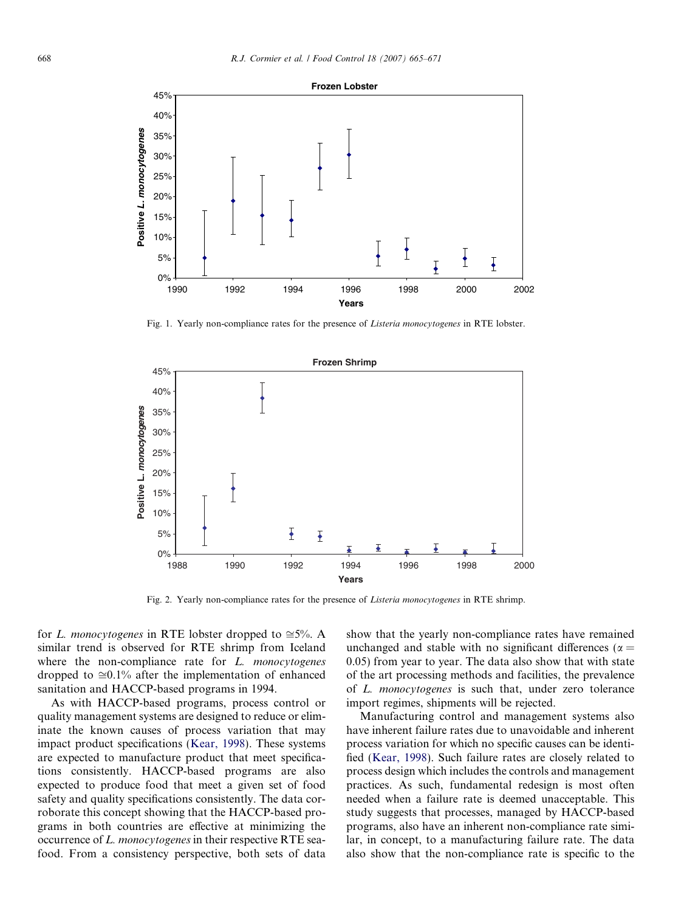<span id="page-3-0"></span>

Fig. 1. Yearly non-compliance rates for the presence of Listeria monocytogenes in RTE lobster.



Fig. 2. Yearly non-compliance rates for the presence of Listeria monocytogenes in RTE shrimp.

for L. monocytogenes in RTE lobster dropped to  $\cong$ 5%. A similar trend is observed for RTE shrimp from Iceland where the non-compliance rate for *L. monocytogenes* dropped to  $\approx 0.1\%$  after the implementation of enhanced sanitation and HACCP-based programs in 1994.

As with HACCP-based programs, process control or quality management systems are designed to reduce or eliminate the known causes of process variation that may impact product specifications ([Kear, 1998\)](#page-5-0). These systems are expected to manufacture product that meet specifications consistently. HACCP-based programs are also expected to produce food that meet a given set of food safety and quality specifications consistently. The data corroborate this concept showing that the HACCP-based programs in both countries are effective at minimizing the occurrence of L. monocytogenes in their respective RTE seafood. From a consistency perspective, both sets of data show that the yearly non-compliance rates have remained unchanged and stable with no significant differences ( $\alpha$  = 0.05) from year to year. The data also show that with state of the art processing methods and facilities, the prevalence of L. monocytogenes is such that, under zero tolerance import regimes, shipments will be rejected.

Manufacturing control and management systems also have inherent failure rates due to unavoidable and inherent process variation for which no specific causes can be identified [\(Kear, 1998](#page-5-0)). Such failure rates are closely related to process design which includes the controls and management practices. As such, fundamental redesign is most often needed when a failure rate is deemed unacceptable. This study suggests that processes, managed by HACCP-based programs, also have an inherent non-compliance rate similar, in concept, to a manufacturing failure rate. The data also show that the non-compliance rate is specific to the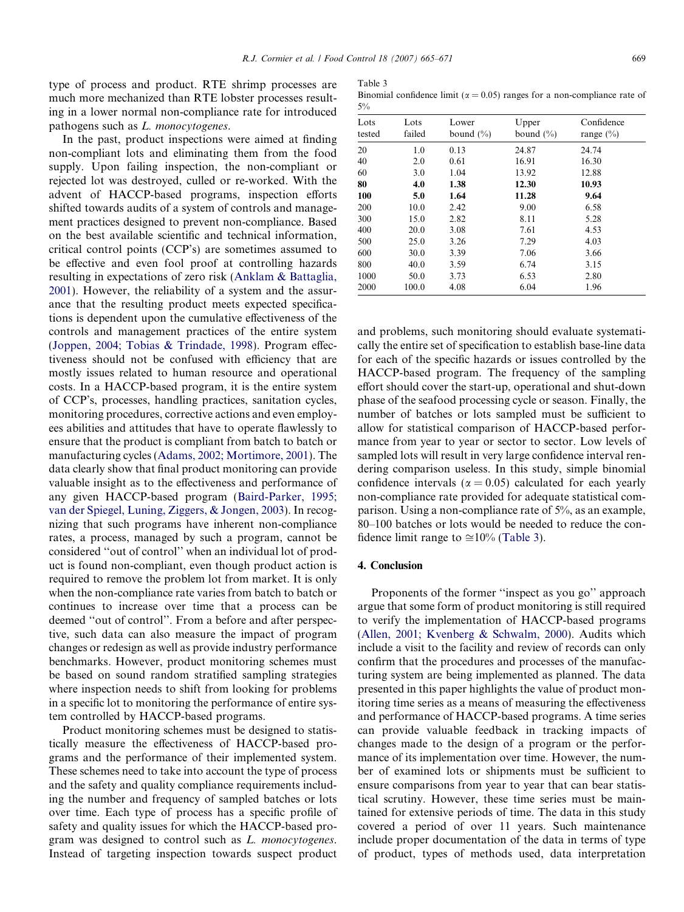type of process and product. RTE shrimp processes are much more mechanized than RTE lobster processes resulting in a lower normal non-compliance rate for introduced pathogens such as L. monocytogenes.

In the past, product inspections were aimed at finding non-compliant lots and eliminating them from the food supply. Upon failing inspection, the non-compliant or rejected lot was destroyed, culled or re-worked. With the advent of HACCP-based programs, inspection efforts shifted towards audits of a system of controls and management practices designed to prevent non-compliance. Based on the best available scientific and technical information, critical control points (CCP's) are sometimes assumed to be effective and even fool proof at controlling hazards resulting in expectations of zero risk [\(Anklam & Battaglia,](#page-5-0) [2001](#page-5-0)). However, the reliability of a system and the assurance that the resulting product meets expected specifications is dependent upon the cumulative effectiveness of the controls and management practices of the entire system ([Joppen, 2004; Tobias & Trindade, 1998](#page-5-0)). Program effectiveness should not be confused with efficiency that are mostly issues related to human resource and operational costs. In a HACCP-based program, it is the entire system of CCP's, processes, handling practices, sanitation cycles, monitoring procedures, corrective actions and even employees abilities and attitudes that have to operate flawlessly to ensure that the product is compliant from batch to batch or manufacturing cycles [\(Adams, 2002; Mortimore, 2001\)](#page-5-0). The data clearly show that final product monitoring can provide valuable insight as to the effectiveness and performance of any given HACCP-based program ([Baird-Parker, 1995;](#page-5-0) [van der Spiegel, Luning, Ziggers, & Jongen, 2003\)](#page-5-0). In recognizing that such programs have inherent non-compliance rates, a process, managed by such a program, cannot be considered ''out of control'' when an individual lot of product is found non-compliant, even though product action is required to remove the problem lot from market. It is only when the non-compliance rate varies from batch to batch or continues to increase over time that a process can be deemed ''out of control''. From a before and after perspective, such data can also measure the impact of program changes or redesign as well as provide industry performance benchmarks. However, product monitoring schemes must be based on sound random stratified sampling strategies where inspection needs to shift from looking for problems in a specific lot to monitoring the performance of entire system controlled by HACCP-based programs.

Product monitoring schemes must be designed to statistically measure the effectiveness of HACCP-based programs and the performance of their implemented system. These schemes need to take into account the type of process and the safety and quality compliance requirements including the number and frequency of sampled batches or lots over time. Each type of process has a specific profile of safety and quality issues for which the HACCP-based program was designed to control such as L. monocytogenes. Instead of targeting inspection towards suspect product

Table 3 Binomial confidence limit ( $\alpha = 0.05$ ) ranges for a non-compliance rate of 5%

| Lots<br>tested | Lots<br>failed | Lower<br>bound $(\% )$ | Upper<br>bound $(\% )$ | Confidence<br>range $(\% )$ |
|----------------|----------------|------------------------|------------------------|-----------------------------|
| 20             | 1.0            | 0.13                   | 24.87                  | 24.74                       |
| 40             | 2.0            | 0.61                   | 16.91                  | 16.30                       |
| 60             | 3.0            | 1.04                   | 13.92                  | 12.88                       |
| 80             | 4.0            | 1.38                   | 12.30                  | 10.93                       |
| 100            | 5.0            | 1.64                   | 11.28                  | 9.64                        |
| 200            | 10.0           | 2.42                   | 9.00                   | 6.58                        |
| 300            | 15.0           | 2.82                   | 8.11                   | 5.28                        |
| 400            | 20.0           | 3.08                   | 7.61                   | 4.53                        |
| 500            | 25.0           | 3.26                   | 7.29                   | 4.03                        |
| 600            | 30.0           | 3.39                   | 7.06                   | 3.66                        |
| 800            | 40.0           | 3.59                   | 6.74                   | 3.15                        |
| 1000           | 50.0           | 3.73                   | 6.53                   | 2.80                        |
| 2000           | 100.0          | 4.08                   | 6.04                   | 1.96                        |

and problems, such monitoring should evaluate systematically the entire set of specification to establish base-line data for each of the specific hazards or issues controlled by the HACCP-based program. The frequency of the sampling effort should cover the start-up, operational and shut-down phase of the seafood processing cycle or season. Finally, the number of batches or lots sampled must be sufficient to allow for statistical comparison of HACCP-based performance from year to year or sector to sector. Low levels of sampled lots will result in very large confidence interval rendering comparison useless. In this study, simple binomial confidence intervals ( $\alpha = 0.05$ ) calculated for each yearly non-compliance rate provided for adequate statistical comparison. Using a non-compliance rate of 5%, as an example, 80–100 batches or lots would be needed to reduce the confidence limit range to  $\approx 10\%$  (Table 3).

## 4. Conclusion

Proponents of the former ''inspect as you go'' approach argue that some form of product monitoring is still required to verify the implementation of HACCP-based programs ([Allen, 2001; Kvenberg & Schwalm, 2000](#page-5-0)). Audits which include a visit to the facility and review of records can only confirm that the procedures and processes of the manufacturing system are being implemented as planned. The data presented in this paper highlights the value of product monitoring time series as a means of measuring the effectiveness and performance of HACCP-based programs. A time series can provide valuable feedback in tracking impacts of changes made to the design of a program or the performance of its implementation over time. However, the number of examined lots or shipments must be sufficient to ensure comparisons from year to year that can bear statistical scrutiny. However, these time series must be maintained for extensive periods of time. The data in this study covered a period of over 11 years. Such maintenance include proper documentation of the data in terms of type of product, types of methods used, data interpretation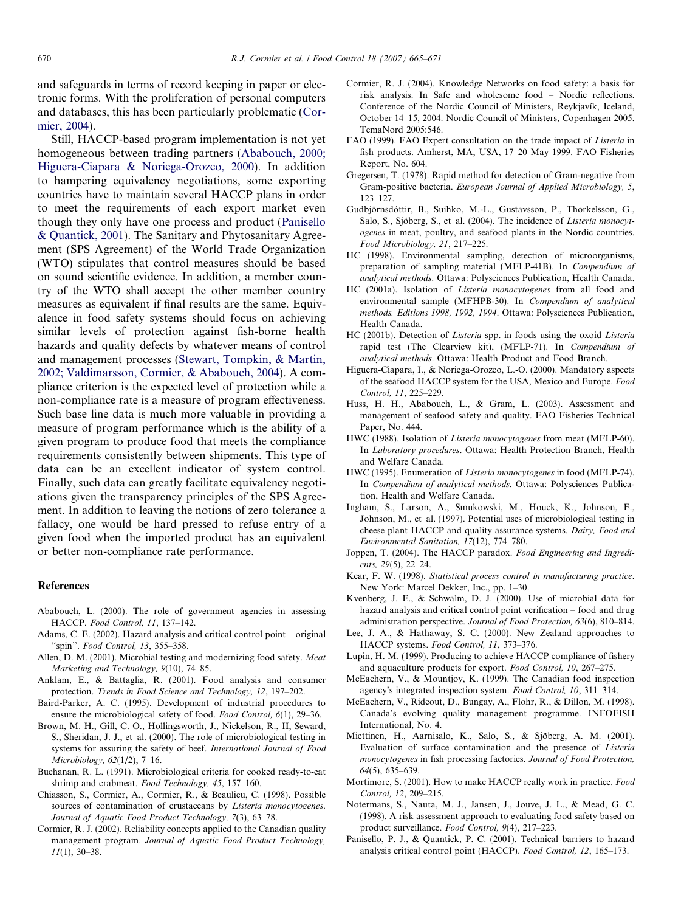<span id="page-5-0"></span>and safeguards in terms of record keeping in paper or electronic forms. With the proliferation of personal computers and databases, this has been particularly problematic (Cormier, 2004).

Still, HACCP-based program implementation is not yet homogeneous between trading partners (Ababouch, 2000; Higuera-Ciapara & Noriega-Orozco, 2000). In addition to hampering equivalency negotiations, some exporting countries have to maintain several HACCP plans in order to meet the requirements of each export market even though they only have one process and product (Panisello & Quantick, 2001). The Sanitary and Phytosanitary Agreement (SPS Agreement) of the World Trade Organization (WTO) stipulates that control measures should be based on sound scientific evidence. In addition, a member country of the WTO shall accept the other member country measures as equivalent if final results are the same. Equivalence in food safety systems should focus on achieving similar levels of protection against fish-borne health hazards and quality defects by whatever means of control and management processes ([Stewart, Tompkin, & Martin,](#page-6-0) [2002; Valdimarsson, Cormier, & Ababouch, 2004](#page-6-0)). A compliance criterion is the expected level of protection while a non-compliance rate is a measure of program effectiveness. Such base line data is much more valuable in providing a measure of program performance which is the ability of a given program to produce food that meets the compliance requirements consistently between shipments. This type of data can be an excellent indicator of system control. Finally, such data can greatly facilitate equivalency negotiations given the transparency principles of the SPS Agreement. In addition to leaving the notions of zero tolerance a fallacy, one would be hard pressed to refuse entry of a given food when the imported product has an equivalent or better non-compliance rate performance.

#### References

- Ababouch, L. (2000). The role of government agencies in assessing HACCP. Food Control, 11, 137–142.
- Adams, C. E. (2002). Hazard analysis and critical control point original ''spin''. Food Control, 13, 355–358.
- Allen, D. M. (2001). Microbial testing and modernizing food safety. Meat Marketing and Technology, 9(10), 74–85.
- Anklam, E., & Battaglia, R. (2001). Food analysis and consumer protection. Trends in Food Science and Technology, 12, 197–202.
- Baird-Parker, A. C. (1995). Development of industrial procedures to ensure the microbiological safety of food. Food Control, 6(1), 29–36.
- Brown, M. H., Gill, C. O., Hollingsworth, J., Nickelson, R., II, Seward, S., Sheridan, J. J., et al. (2000). The role of microbiological testing in systems for assuring the safety of beef. International Journal of Food Microbiology, 62(1/2), 7–16.
- Buchanan, R. L. (1991). Microbiological criteria for cooked ready-to-eat shrimp and crabmeat. Food Technology, 45, 157–160.
- Chiasson, S., Cormier, A., Cormier, R., & Beaulieu, C. (1998). Possible sources of contamination of crustaceans by Listeria monocytogenes. Journal of Aquatic Food Product Technology, 7(3), 63–78.
- Cormier, R. J. (2002). Reliability concepts applied to the Canadian quality management program. Journal of Aquatic Food Product Technology,  $11(1)$ , 30–38.
- Cormier, R. J. (2004). Knowledge Networks on food safety: a basis for risk analysis. In Safe and wholesome food – Nordic reflections. Conference of the Nordic Council of Ministers, Reykjavík, Iceland, October 14–15, 2004. Nordic Council of Ministers, Copenhagen 2005. TemaNord 2005:546.
- FAO (1999). FAO Expert consultation on the trade impact of Listeria in fish products. Amherst, MA, USA, 17–20 May 1999. FAO Fisheries Report, No. 604.
- Gregersen, T. (1978). Rapid method for detection of Gram-negative from Gram-positive bacteria. European Journal of Applied Microbiology, 5, 123–127.
- Gudbjörnsdóttir, B., Suihko, M.-L., Gustavsson, P., Thorkelsson, G., Salo, S., Sjöberg, S., et al. (2004). The incidence of Listeria monocytogenes in meat, poultry, and seafood plants in the Nordic countries. Food Microbiology, 21, 217–225.
- HC (1998). Environmental sampling, detection of microorganisms, preparation of sampling material (MFLP-41B). In Compendium of analytical methods. Ottawa: Polysciences Publication, Health Canada.
- HC (2001a). Isolation of Listeria monocytogenes from all food and environmental sample (MFHPB-30). In Compendium of analytical methods. Editions 1998, 1992, 1994. Ottawa: Polysciences Publication, Health Canada.
- HC (2001b). Detection of Listeria spp. in foods using the oxoid Listeria rapid test (The Clearview kit), (MFLP-71). In Compendium of analytical methods. Ottawa: Health Product and Food Branch.
- Higuera-Ciapara, I., & Noriega-Orozco, L.-O. (2000). Mandatory aspects of the seafood HACCP system for the USA, Mexico and Europe. Food Control, 11, 225–229.
- Huss, H. H., Ababouch, L., & Gram, L. (2003). Assessment and management of seafood safety and quality. FAO Fisheries Technical Paper, No. 444.
- HWC (1988). Isolation of Listeria monocytogenes from meat (MFLP-60). In Laboratory procedures. Ottawa: Health Protection Branch, Health and Welfare Canada.
- HWC (1995). Enumeration of Listeria monocytogenes in food (MFLP-74). In Compendium of analytical methods. Ottawa: Polysciences Publication, Health and Welfare Canada.
- Ingham, S., Larson, A., Smukowski, M., Houck, K., Johnson, E., Johnson, M., et al. (1997). Potential uses of microbiological testing in cheese plant HACCP and quality assurance systems. Dairy, Food and Environmental Sanitation, 17(12), 774–780.
- Joppen, T. (2004). The HACCP paradox. Food Engineering and Ingredients, 29(5), 22–24.
- Kear, F. W. (1998). Statistical process control in manufacturing practice. New York: Marcel Dekker, Inc., pp. 1–30.
- Kvenberg, J. E., & Schwalm, D. J. (2000). Use of microbial data for hazard analysis and critical control point verification – food and drug administration perspective. Journal of Food Protection, 63(6), 810–814.
- Lee, J. A., & Hathaway, S. C. (2000). New Zealand approaches to HACCP systems. Food Control, 11, 373–376.
- Lupin, H. M. (1999). Producing to achieve HACCP compliance of fishery and aquaculture products for export. Food Control, 10, 267–275.
- McEachern, V., & Mountjoy, K. (1999). The Canadian food inspection agency's integrated inspection system. Food Control, 10, 311–314.
- McEachern, V., Rideout, D., Bungay, A., Flohr, R., & Dillon, M. (1998). Canada's evolving quality management programme. INFOFISH International, No. 4.
- Miettinen, H., Aarnisalo, K., Salo, S., & Sjöberg, A. M. (2001). Evaluation of surface contamination and the presence of Listeria monocytogenes in fish processing factories. Journal of Food Protection, 64(5), 635–639.
- Mortimore, S. (2001). How to make HACCP really work in practice. Food Control, 12, 209–215.
- Notermans, S., Nauta, M. J., Jansen, J., Jouve, J. L., & Mead, G. C. (1998). A risk assessment approach to evaluating food safety based on product surveillance. Food Control, 9(4), 217–223.
- Panisello, P. J., & Quantick, P. C. (2001). Technical barriers to hazard analysis critical control point (HACCP). Food Control, 12, 165–173.